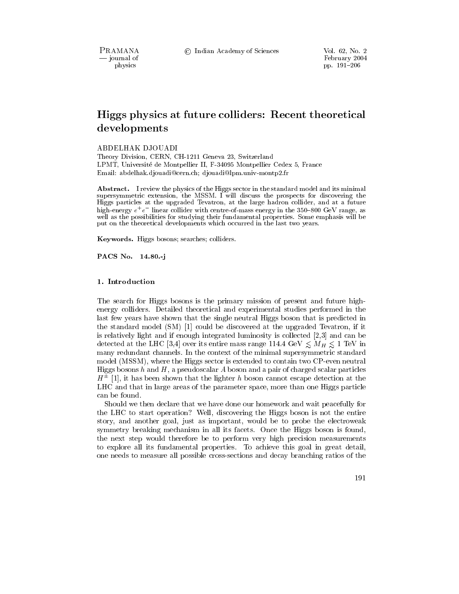PRAMANA - journal of physics

# Higgs physics at future colliders: Recent theoretical developments

ABDELHAK DJOUADI

Theory Division, CERN, CH-1211 Geneva 23, Switzerland LPMT, Université de Montpellier II, F-34095 Montpellier Cedex 5, France Email: abdelhak.djouadi@cern.ch; djouadi@lpm.univ-montp2.fr

Abstract. I review the physics of the Higgs sector in the standard model and its minimal supersymmetric extension, the MSSM. I will discuss the prospects for discovering the Higgs particles at the upgraded Tevatron, at the large hadron collider, and at a future high-energy  $e^+e^-$  linear collider with centre-of-mass energy in the 350–800 GeV range, as well as the possibilities for studying their fundamental properties. Some emphasis will be put on the theoretical developments which occurred in the last two years.

Keywords. Higgs bosons; searches; colliders.

PACS No. 14.80.-j

### 1. Introduction

The search for Higgs bosons is the primary mission of present and future highenergy colliders. Detailed theoretical and experimental studies performed in the last few years have shown that the single neutral Higgs boson that is predicted in the standard model (SM) [1] could be discovered at the upgraded Tevatron, if it is relatively light and if enough integrated luminosity is collected  $[2,3]$  and can be detected at the LHC [3,4] over its entire mass range 114.4 GeV  $\leq M_H \leq 1$  TeV in many redundant channels. In the context of the minimal supersymmetric standard model (MSSM), where the Higgs sector is extended to contain two CP-even neutral Higgs bosons  $h$  and  $H$ , a pseudoscalar  $A$  boson and a pair of charged scalar particles  $H^{\pm}$  [1], it has been shown that the lighter h boson cannot escape detection at the LHC and that in large areas of the parameter space, more than one Higgs particle can be found.

Should we then declare that we have done our homework and wait peacefully for the LHC to start operation? Well, discovering the Higgs boson is not the entire story, and another goal, just as important, would be to probe the electroweak symmetry breaking mechanism in all its facets. Once the Higgs boson is found, the next step would therefore be to perform very high precision measurements to explore all its fundamental properties. To achieve this goal in great detail, one needs to measure all possible cross-sections and decay branching ratios of the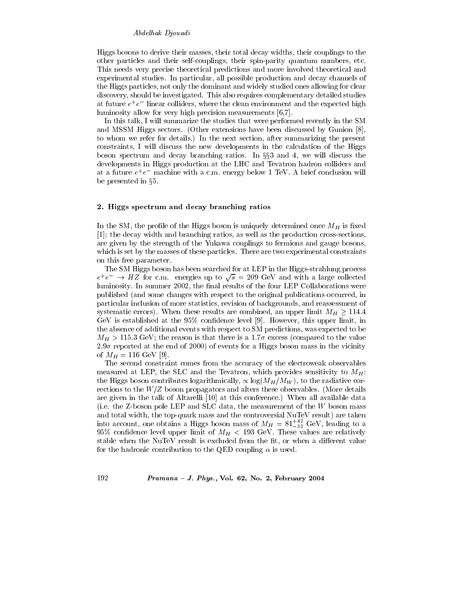# Abdelhak Djouadi

Higgs bosons to derive their masses, their total decay widths, their couplings to the other particles and their self-couplings, their spin-parity quantum numbers, etc. This needs very precise theoretical predictions and more involved theoretical and experimental studies. In particular, all possible production and decay channels of the Higgs particles, not only the dominant and widely studied ones allowing for clear discovery, should be investigated. This also requires complementary detailed studies at future  $e^+e^-$  linear colliders, where the clean environment and the expected high luminosity allow for very high precision measurements [6,7].

In this talk, I will summarize the studies that were performed recently in the SM and MSSM Higgs sectors. (Other extensions have been discussed by Gunion [8], to whom we refer for details.) In the next section, after summarizing the present constraints, I will discuss the new developments in the calculation of the Higgs boson spectrum and decay branching ratios. In  $\S$ §3 and 4, we will discuss the developments in Higgs production at the LHC and Tevatron hadron colliders and at a future  $e^+e^-$  machine with a c.m. energy below 1 TeV. A brief conclusion will be presented in  $\S5$ .

# 2. Higgs spectrum and decay branching ratios

In the SM, the profile of the Higgs boson is uniquely determined once  $M_H$  is fixed [1]: the decay width and branching ratios, as well as the production cross-sections, are given by the strength of the Yukawa couplings to fermions and gauge bosons, which is set by the masses of these particles. There are two experimental constraints on this free parameter.

The SM Higgs boson has been searched for at LEP in the Higgs-strahlung process  $e^+e^- \rightarrow HZ$  for c.m. energies up to  $\sqrt{s}$  = 209 GeV and with a large collected luminosity. In summer 2002, the final results of the four LEP Collaborations were published (and some changes with respect to the original publications occurred, in particular inclusion of more statistics, revision of backgrounds, and reassessment of systematic errors). When these results are combined, an upper limit  $M_H \ge 114.4$ GeV is established at the  $95\%$  confidence level [9]. However, this upper limit, in the absence of additional events with respect to SM predictions, was expected to be  $M_H > 115.3$  GeV; the reason is that there is a 1.7 $\sigma$  excess (compared to the value  $2.9\sigma$  reported at the end of 2000) of events for a Higgs boson mass in the vicinity of  $M_H = 116 \text{ GeV}$  [9].

The second constraint comes from the accuracy of the electroweak observables measured at LEP, the SLC and the Tevatron, which provides sensitivity to  $M_H$ : the Higgs boson contributes logarithmically,  $\propto \log(M_H/M_W)$ , to the radiative corrections to the  $W/Z$  boson propagators and alters these observables. (More details are given in the talk of Altarelli [10] at this conference.) When all available data (i.e. the Z-boson pole LEP and SLC data, the measurement of the W boson mass and total width, the top-quark mass and the controversial NuTeV result) are taken into account, one obtains a Higgs boson mass of  $M_H = 81^{+42}_{-33}$  GeV, leading to a 95% confidence level upper limit of  $M_H < 193$  GeV. These values are relatively stable when the NuTeV result is excluded from the fit, or when a different value for the hadronic contribution to the QED coupling  $\alpha$  is used.

192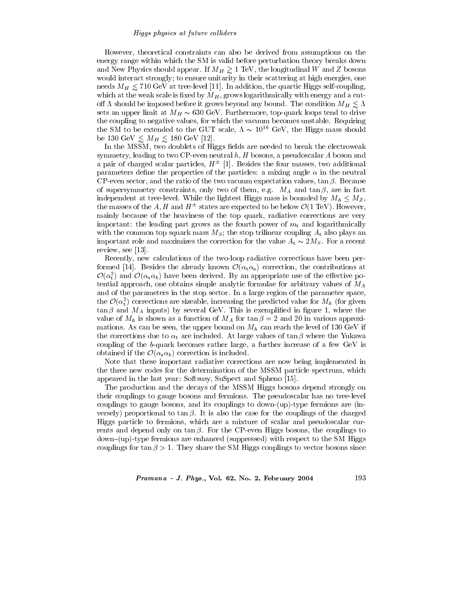However, theoretical constraints can also be derived from assumptions on the energy range within which the SM is valid before perturbation theory breaks down and New Physics should appear. If  $M_H \gtrsim 1$  TeV, the longitudinal W and Z bosons would interact strongly; to ensure unitarity in their scattering at high energies, one needs  $M_H \leq 710 \text{ GeV}$  at tree-level [11]. In addition, the quartic Higgs self-coupling, which at the weak scale is fixed by  $M_H$ , grows logarithmically with energy and a cutoff  $\Lambda$  should be imposed before it grows beyond any bound. The condition  $M_H \leq \Lambda$ sets an upper limit at  $M_H \sim 630$  GeV. Furthermore, top-quark loops tend to drive the coupling to negative values, for which the vacuum becomes unstable. Requiring the SM to be extended to the GUT scale,  $\Lambda \sim 10^{16}$  GeV, the Higgs mass should be 130 GeV  $\lesssim M_H \lesssim 180$  GeV [12].

In the MSSM, two doublets of Higgs fields are needed to break the electroweak symmetry, leading to two CP-even neutral  $h, H$  bosons, a pseudoscalar  $A$  boson and a pair of charged scalar particles,  $H^{\pm}$  [1]. Besides the four masses, two additional parameters define the properties of the particles: a mixing angle  $\alpha$  in the neutral CP-even sector, and the ratio of the two vacuum expectation values,  $\tan \beta$ . Because of supersymmetry constraints, only two of them, e.g.  $M_A$  and  $\tan \beta$ , are in fact independent at tree-level. While the lightest Higgs mass is bounded by  $M_h \leq M_Z$ , the masses of the A, H and  $H^{\pm}$  states are expected to be below  $\mathcal{O}(1 \text{ TeV})$ . However, mainly because of the heaviness of the top quark, radiative corrections are very important: the leading part grows as the fourth power of  $m_t$  and logarithmically with the common top squark mass  $M_S$ ; the stop trilinear coupling  $A_t$  also plays an important role and maximizes the correction for the value  $A_t \sim 2M_S$ . For a recent review, see  $[13]$ .

Recently, new calculations of the two-loop radiative corrections have been performed [14]. Besides the already known  $\mathcal{O}(\alpha_t \alpha_s)$  correction, the contributions at  $\mathcal{O}(\alpha_t^2)$  and  $\mathcal{O}(\alpha_s \alpha_b)$  have been derived. By an appropriate use of the effective potential approach, one obtains simple analytic formulae for arbitrary values of  $M_A$ and of the parameters in the stop sector. In a large region of the parameter space, the  $\mathcal{O}(\alpha_t^2)$  corrections are sizeable, increasing the predicted value for  $M_h$  (for given  $\tan \beta$  and  $M_A$  inputs) by several GeV. This is exemplified in figure 1, where the value of  $M_h$  is shown as a function of  $M_A$  for  $\tan \beta = 2$  and 20 in various approximations. As can be seen, the upper bound on  $M_h$  can reach the level of 130 GeV if the corrections due to  $\alpha_t$  are included. At large values of  $\tan \beta$  where the Yukawa coupling of the b-quark becomes rather large, a further increase of a few GeV is obtained if the  $\mathcal{O}(\alpha_s \alpha_b)$  correction is included.

Note that these important radiative corrections are now being implemented in the three new codes for the determination of the MSSM particle spectrum, which appeared in the last year: Softsusy, SuSpect and Spheno [15].

The production and the decays of the MSSM Higgs bosons depend strongly on their couplings to gauge bosons and fermions. The pseudoscalar has no tree-level couplings to gauge bosons, and its couplings to down-(up)-type fermions are (inversely) proportional to  $\tan \beta$ . It is also the case for the couplings of the charged Higgs particle to fermions, which are a mixture of scalar and pseudoscalar currents and depend only on  $\tan \beta$ . For the CP-even Higgs bosons, the couplings to down-(up)-type fermions are enhanced (suppressed) with respect to the SM Higgs couplings for  $\tan \beta > 1$ . They share the SM Higgs couplings to vector bosons since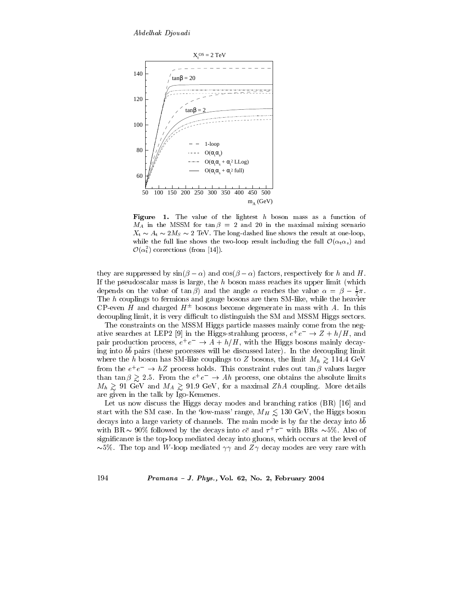

**Figure** 1. The value of the lightest h boson mass as a function of  $M_A$  in the MSSM for  $\tan \beta = 2$  and 20 in the maximal mixing scenario  $X_t \sim A_t \sim 2M_s \sim 2$  TeV. The long-dashed line shows the result at one-loop, while the full line shows the two-loop result including the full  $\mathcal{O}(\alpha_{t}\alpha_{s})$  and  $\mathcal{O}(\alpha_t^2)$  corrections (from [14]).

they are suppressed by  $\sin(\beta - \alpha)$  and  $\cos(\beta - \alpha)$  factors, respectively for h and H. If the pseudoscalar mass is large, the  $h$  boson mass reaches its upper limit (which depends on the value of  $\tan \beta$  and the angle  $\alpha$  reaches the value  $\alpha = \beta - \frac{1}{2}\pi$ . The h couplings to fermions and gauge bosons are then SM-like, while the heavier CP-even H and charged  $H^{\pm}$  bosons become degenerate in mass with A. In this decoupling limit, it is very difficult to distinguish the SM and MSSM Higgs sectors.

The constraints on the MSSM Higgs particle masses mainly come from the negative searches at LEP2 [9] in the Higgs-strahlung process,  $e^+e^- \rightarrow Z + h/H$ , and pair production process,  $e^+e^- \rightarrow A + h/H$ , with the Higgs bosons mainly decaying into bb pairs (these processes will be discussed later). In the decoupling limit where the h boson has SM-like couplings to Z bosons, the limit  $M_h \gtrsim 114.4 \text{ GeV}$ from the  $e^+e^- \rightarrow hZ$  process holds. This constraint rules out  $\tan \beta$  values larger than tan  $\beta \geq 2.5$ . From the  $e^+e^- \to Ah$  process, one obtains the absolute limits  $M_h \gtrsim 91$  GeV and  $M_A \gtrsim 91.9$  GeV, for a maximal ZhA coupling. More details are given in the talk by Igo-Kemenes.

Let us now discuss the Higgs decay modes and branching ratios (BR) [16] and start with the SM case. In the 'low-mass' range,  $M_H \lesssim 130$  GeV, the Higgs boson decays into a large variety of channels. The main mode is by far the decay into bb with BR  $\sim$  90% followed by the decays into  $c\bar{c}$  and  $\tau^+\tau^-$  with BRs  $\sim$ 5%. Also of significance is the top-loop mediated decay into gluons, which occurs at the level of  $\sim 5\%$ . The top and W-loop mediated  $\gamma\gamma$  and  $Z\gamma$  decay modes are very rare with

Pramana - J. Phys., Vol. 62, No. 2, February 2004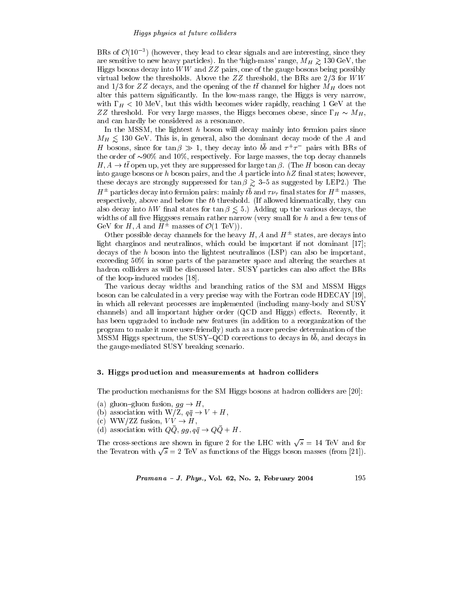BRs of  $\mathcal{O}(10^{-3})$  (however, they lead to clear signals and are interesting, since they are sensitive to new heavy particles). In the 'high-mass' range,  $M_H \gtrsim 130 \text{ GeV}$ , the Higgs bosons decay into  $WW$  and  $ZZ$  pairs, one of the gauge bosons being possibly virtual below the thresholds. Above the  $ZZ$  threshold, the BRs are  $2/3$  for  $WW$ and 1/3 for ZZ decays, and the opening of the  $t\bar{t}$  channel for higher  $M_H$  does not alter this pattern significantly. In the low-mass range, the Higgs is very narrow, with  $\Gamma_H < 10$  MeV, but this width becomes wider rapidly, reaching 1 GeV at the ZZ threshold. For very large masses, the Higgs becomes obese, since  $\Gamma_H \sim M_H$ , and can hardly be considered as a resonance.

In the MSSM, the lightest  $h$  boson will decay mainly into fermion pairs since  $M_H \lesssim 130$  GeV. This is, in general, also the dominant decay mode of the A and H bosons, since for  $\tan \beta \gg 1$ , they decay into  $b\bar{b}$  and  $\tau^+ \tau^-$  pairs with BRs of the order of  $\sim 90\%$  and 10%, respectively. For large masses, the top decay channels  $H, A \to t\bar{t}$  open up, yet they are suppressed for large  $\tan \beta$ . (The H boson can decay into gauge bosons or h boson pairs, and the A particle into  $hZ$  final states; however, these decays are strongly suppressed for  $\tan \beta \gtrsim 3-5$  as suggested by LEP2.) The  $H^{\pm}$  particles decay into fermion pairs: mainly  $t\bar{b}$  and  $\tau\nu_{\tau}$  final states for  $H^{\pm}$  masses, respectively, above and below the tb threshold. (If allowed kinematically, they can also decay into hW final states for  $\tan \beta \leq 5$ .) Adding up the various decays, the widths of all five Higgsses remain rather narrow (very small for  $h$  and a few tens of GeV for H, A and  $H^{\pm}$  masses of  $\mathcal{O}(1 \text{ TeV})$ .

Other possible decay channels for the heavy H, A and  $H^{\pm}$  states, are decays into light charginos and neutralinos, which could be important if not dominant [17]; decays of the  $h$  boson into the lightest neutralinos (LSP) can also be important, exceeding  $50\%$  in some parts of the parameter space and altering the searches at hadron colliders as will be discussed later. SUSY particles can also affect the BRs of the loop-induced modes [18].

The various decay widths and branching ratios of the SM and MSSM Higgs boson can be calculated in a very precise way with the Fortran code HDECAY [19]. in which all relevant processes are implemented (including many-body and SUSY channels) and all important higher order (QCD and Higgs) effects. Recently, it has been upgraded to include new features (in addition to a reorganization of the program to make it more user-friendly) such as a more precise determination of the MSSM Higgs spectrum, the SUSY-QCD corrections to decays in bb, and decays in the gauge-mediated SUSY breaking scenario.

# 3. Higgs production and measurements at hadron colliders

The production mechanisms for the SM Higgs bosons at hadron colliders are [20]:

- (a) gluon-gluon fusion,  $gg \to H$ ,
- (b) association with W/Z,  $q\bar{q} \rightarrow V + H$ ,
- (c) WW/ZZ fusion,  $VV \rightarrow H$ ,
- (d) association with  $Q\overline{Q}$ ,  $gg, q\overline{q} \rightarrow Q\overline{Q} + H$ .

The cross-sections are shown in figure 2 for the LHC with  $\sqrt{s}$  = 14 TeV and for the Tevatron with  $\sqrt{s} = 2$  TeV as functions of the Higgs boson masses (from [21]).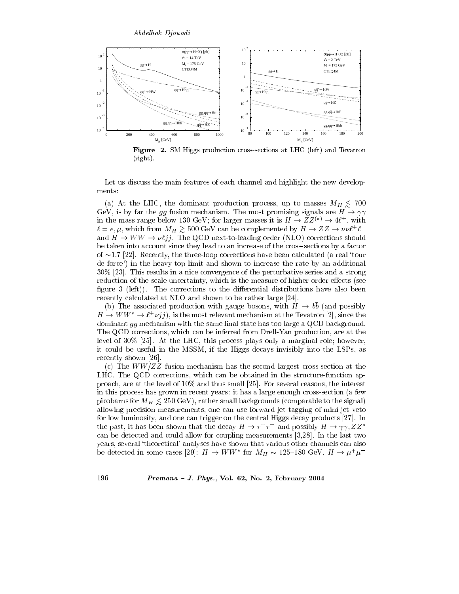

**Figure 2.** SM Higgs production cross-sections at LHC (left) and Tevatron  $(right).$ 

Let us discuss the main features of each channel and highlight the new developments:

(a) At the LHC, the dominant production process, up to masses  $M_H \leq 700$ GeV, is by far the gg fusion mechanism. The most promising signals are  $H \to \gamma\gamma$ in the mass range below 130 GeV; for larger masses it is  $H \to ZZ^{(*)} \to 4\ell^{\pm}$ , with  $\ell = e, \mu$ , which from  $M_H \gtrsim 500 \text{ GeV}$  can be complemented by  $H \to ZZ \to \nu \bar{\nu} \ell^+ \ell^$ and  $H \to WW \to \nu \ell jj$ . The QCD next-to-leading order (NLO) corrections should be taken into account since they lead to an increase of the cross-sections by a factor of  $\sim$ 1.7 [22]. Recently, the three-loop corrections have been calculated (a real 'tour de force') in the heavy-top limit and shown to increase the rate by an additional 30% [23]. This results in a nice convergence of the perturbative series and a strong reduction of the scale uncertainty, which is the measure of higher order effects (see figure 3 (left)). The corrections to the differential distributions have also been recently calculated at NLO and shown to be rather large [24].

(b) The associated production with gauge bosons, with  $H \to bb$  (and possibly  $H \to WW^* \to \ell^+ \nu^j j$ , is the most relevant mechanism at the Tevatron [2], since the dominant gg mechanism with the same final state has too large a QCD background. The QCD corrections, which can be inferred from Drell-Yan production, are at the level of 30% [25]. At the LHC, this process plays only a marginal role; however, it could be useful in the MSSM, if the Higgs decays invisibly into the LSPs, as recently shown [26].

(c) The  $WW/ZZ$  fusion mechanism has the second largest cross-section at the LHC. The QCD corrections, which can be obtained in the structure-function approach, are at the level of  $10\%$  and thus small [25]. For several reasons, the interest in this process has grown in recent years: it has a large enough cross-section (a few picobarns for  $M_H \leq 250 \,\text{GeV}$ , rather small backgrounds (comparable to the signal) allowing precision measurements, one can use forward-jet tagging of mini-jet veto for low luminosity, and one can trigger on the central Higgs decay products [27]. In the past, it has been shown that the decay  $H \to \tau^+\tau^-$  and possibly  $H \to \gamma\gamma$ ,  $ZZ^*$ can be detected and could allow for coupling measurements  $[3,28]$ . In the last two years, several 'theoretical' analyses have shown that various other channels can also be detected in some cases [29]:  $H \to WW^*$  for  $M_H \sim 125{\text -}180 \text{ GeV}, H \to \mu^+\mu^-$ 

### $Pramana - J. Phys., Vol. 62, No. 2, February 2004$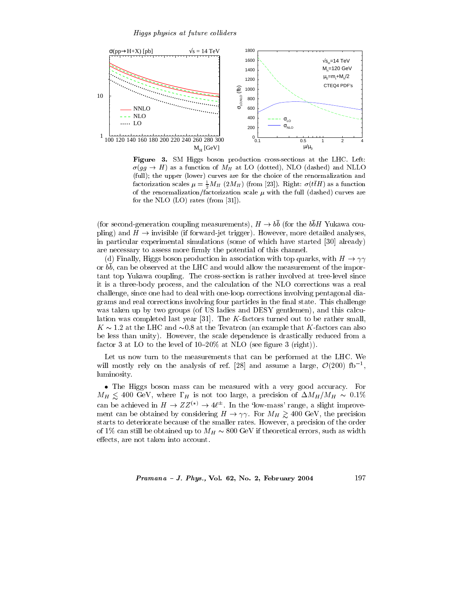

Figure 3. SM Higgs boson production cross-sections at the LHC. Left:  $\sigma(gg \to H)$  as a function of  $M_H$  at LO (dotted), NLO (dashed) and NLLO (full); the upper (lower) curves are for the choice of the renormalization and factorization scales  $\mu = \frac{1}{2} M_H (2M_H)$  (from [23]). Right:  $\sigma(t\bar{t}H)$  as a function of the renormalization/factorization scale  $\mu$  with the full (dashed) curves are for the NLO  $(LO)$  rates  $(from [31]).$ 

(for second-generation coupling measurements),  $H \to b\bar{b}$  (for the  $b\bar{b}H$  Yukawa coupling) and  $H \to$  invisible (if forward-jet trigger). However, more detailed analyses, in particular experimental simulations (some of which have started [30] already) are necessary to assess more firmly the potential of this channel.

(d) Finally, Higgs boson production in association with top quarks, with  $H \to \gamma\gamma$ or bb, can be observed at the LHC and would allow the measurement of the important top Yukawa coupling. The cross-section is rather involved at tree-level since it is a three-body process, and the calculation of the NLO corrections was a real challenge, since one had to deal with one-loop corrections involving pentagonal diagrams and real corrections involving four particles in the final state. This challenge was taken up by two groups (of US ladies and DESY gentlemen), and this calculation was completed last year [31]. The  $K$ -factors turned out to be rather small.  $K \sim 1.2$  at the LHC and  $\sim 0.8$  at the Tevatron (an example that K-factors can also be less than unity). However, the scale dependence is drastically reduced from a factor 3 at LO to the level of  $10-20\%$  at NLO (see figure 3 (right)).

Let us now turn to the measurements that can be performed at the LHC. We will mostly rely on the analysis of ref. [28] and assume a large,  $\mathcal{O}(200)$  fb<sup>-1</sup>, luminosity.

• The Higgs boson mass can be measured with a very good accuracy. For  $M_H \lesssim 400 \text{ GeV}$ , where  $\Gamma_H$  is not too large, a precision of  $\Delta M_H/M_H \sim 0.1\%$ can be achieved in  $H \to ZZ^{(*)} \to 4\ell^{\pm}$ . In the 'low-mass' range, a slight improvement can be obtained by considering  $H \to \gamma\gamma$ . For  $M_H \gtrsim 400 \text{ GeV}$ , the precision starts to deteriorate because of the smaller rates. However, a precision of the order of 1% can still be obtained up to  $M_H \sim 800$  GeV if theoretical errors, such as width effects, are not taken into account.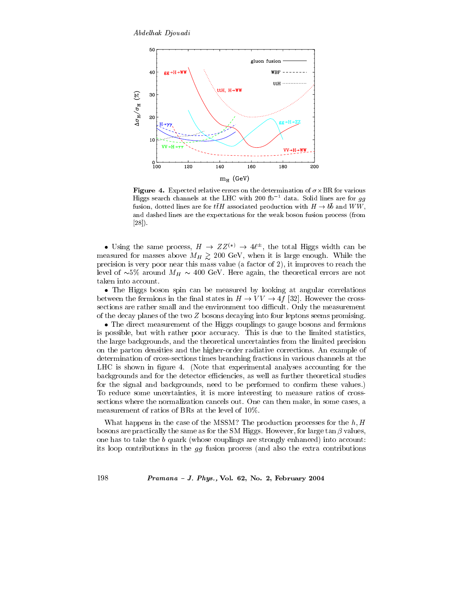Abdelhak Djouadi



Figure 4. Expected relative errors on the determination of  $\sigma \times \text{BR}$  for various Higgs search channels at the LHC with 200 fb<sup>-1</sup> data. Solid lines are for  $gg$ fusion, dotted lines are for  $t\bar{t}H$  associated production with  $H \to b\bar{b}$  and  $WW$ . and dashed lines are the expectations for the weak boson fusion process (from  $[28]$ .

• Using the same process,  $H \to ZZ^{(*)} \to 4\ell^{\pm}$ , the total Higgs width can be measured for masses above  $M_H \geq 200$  GeV, when it is large enough. While the precision is very poor near this mass value (a factor of  $2$ ), it improves to reach the level of  $\sim 5\%$  around  $M_H \sim 400$  GeV. Here again, the theoretical errors are not taken into account.

• The Higgs boson spin can be measured by looking at angular correlations between the fermions in the final states in  $H \to VV \to 4f$  [32]. However the crosssections are rather small and the environment too difficult. Only the measurement of the decay planes of the two  $Z$  bosons decaying into four leptons seems promising.

• The direct measurement of the Higgs couplings to gauge bosons and fermions is possible, but with rather poor accuracy. This is due to the limited statistics, the large backgrounds, and the theoretical uncertainties from the limited precision on the parton densities and the higher-order radiative corrections. An example of determination of cross-sections times branching fractions in various channels at the LHC is shown in figure 4. (Note that experimental analyses accounting for the backgrounds and for the detector efficiencies, as well as further theoretical studies for the signal and backgrounds, need to be performed to confirm these values.) To reduce some uncertainties, it is more interesting to measure ratios of crosssections where the normalization cancels out. One can then make, in some cases, a measurement of ratios of BRs at the level of 10%.

What happens in the case of the MSSM? The production processes for the  $h, H$ bosons are practically the same as for the SM Higgs. However, for large  $\tan \beta$  values, one has to take the  $b$  quark (whose couplings are strongly enhanced) into account: its loop contributions in the  $gg$  fusion process (and also the extra contributions

 $Pramana - J. Phys., Vol. 62, No. 2, February 2004$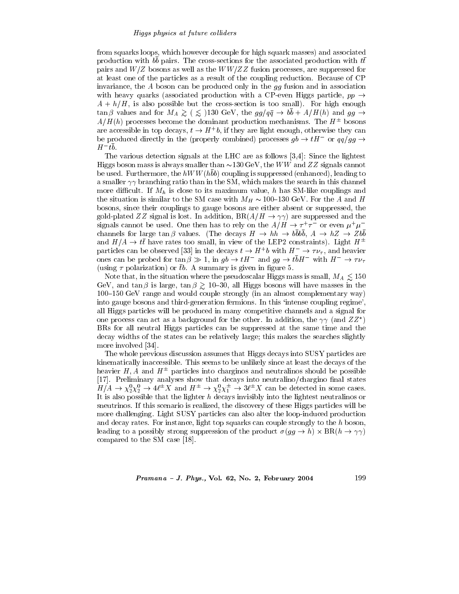#### Higgs physics at future colliders

from squarks loops, which however decouple for high squark masses) and associated production with bb pairs. The cross-sections for the associated production with  $t\bar{t}$ pairs and  $W/Z$  bosons as well as the  $WW/ZZ$  fusion processes, are suppressed for at least one of the particles as a result of the coupling reduction. Because of CP invariance, the  $A$  boson can be produced only in the  $gg$  fusion and in association with heavy quarks (associated production with a CP-even Higgs particle,  $pp \rightarrow$  $A + h/H$ , is also possible but the cross-section is too small). For high enough  $\tan \beta$  values and for  $M_A \gtrsim (g \lesssim 130 \text{ GeV})$ , the  $gg/q\bar{q} \rightarrow bb + A/H(h)$  and  $gg \rightarrow$  $A/H(h)$  processes become the dominant production mechanisms. The  $H^{\pm}$  bosons are accessible in top decays,  $t \to H^+b$ , if they are light enough, otherwise they can be produced directly in the (properly combined) processes  $gb \rightarrow tH^-$  or  $qq/gg \rightarrow$  $H^-tb$ .

The various detection signals at the LHC are as follows [3,4]: Since the lightest Higgs boson mass is always smaller than  $\sim$ 130 GeV, the WW and ZZ signals cannot be used. Furthermore, the  $hWW(hbb)$  coupling is suppressed (enhanced), leading to a smaller  $\gamma\gamma$  branching ratio than in the SM, which makes the search in this channel more difficult. If  $M_h$  is close to its maximum value, h has SM-like couplings and the situation is similar to the SM case with  $M_H \sim 100-130$  GeV. For the A and H bosons, since their couplings to gauge bosons are either absent or suppressed, the gold-plated ZZ signal is lost. In addition,  $BR(A/H \to \gamma\gamma)$  are suppressed and the signals cannot be used. One then has to rely on the  $A/H \to \tau^+ \tau^-$  or even  $\mu^+ \mu^$ channels for large  $\tan \beta$  values. (The decays  $H \to hh \to bbbb, A \to hZ \to Zbb$ and  $H/A \to t\bar{t}$  have rates too small, in view of the LEP2 constraints). Light  $H^{\pm}$ particles can be observed [33] in the decays  $t \to H^+b$  with  $H^- \to \tau \nu_{\tau}$ , and heavier ones can be probed for  $\tan \beta \gg 1$ , in  $gb \to tH^-$  and  $gg \to t\overline{b}H^-$  with  $H^- \to \tau \nu_{\tau}$ (using  $\tau$  polarization) or  $\bar{t}b$ . A summary is given in figure 5.

Note that, in the situation where the pseudoscalar Higgs mass is small,  $M_A \lesssim 150$ GeV, and  $\tan \beta$  is large,  $\tan \beta \gtrsim 10{\text -}30$ , all Higgs bosons will have masses in the 100–150 GeV range and would couple strongly (in an almost complementary way) into gauge bosons and third-generation fermions. In this 'intense coupling regime', all Higgs particles will be produced in many competitive channels and a signal for one process can act as a background for the other. In addition, the  $\gamma\gamma$  (and  $ZZ^*$ ) BRs for all neutral Higgs particles can be suppressed at the same time and the decay widths of the states can be relatively large; this makes the searches slightly more involved [34].

The whole previous discussion assumes that Higgs decays into SUSY particles are kinematically inaccessible. This seems to be unlikely since at least the decays of the heavier  $H, A$  and  $H^{\pm}$  particles into charginos and neutralinos should be possible [17]. Preliminary analyses show that decays into neutralino/chargino final states  $H/A \to \chi_2^0 \chi_2^0 \to 4\ell^{\pm} X$  and  $H^{\pm} \to \chi_2^0 \chi_1^{\pm} \to 3\ell^{\pm} X$  can be detected in some cases. It is also possible that the lighter  $h$  decays invisibly into the lightest neutralinos or sneutrinos. If this scenario is realized, the discovery of these Higgs particles will be more challenging. Light SUSY particles can also alter the loop-induced production and decay rates. For instance, light top squarks can couple strongly to the  $h$  boson, leading to a possibly strong suppression of the product  $\sigma(gg \to h) \times BR(h \to \gamma\gamma)$ compared to the SM case [18].

#### $Pramana - J. Phys., Vol. 62, No. 2, February 2004$

1.99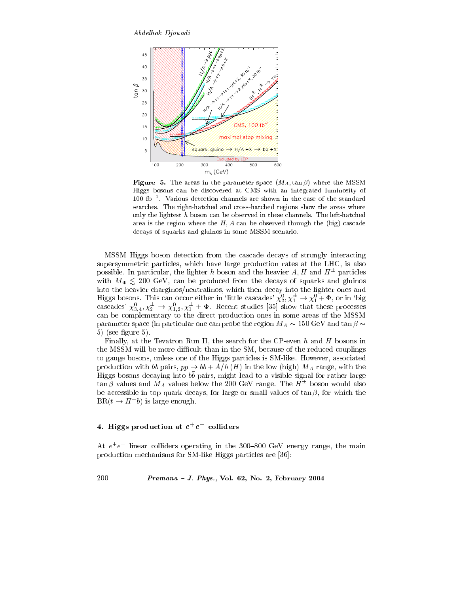Abdelhak Djouadi



**Figure 5.** The areas in the parameter space  $(M_A, \tan \beta)$  where the MSSM Higgs bosons can be discovered at CMS with an integrated luminosity of  $100$  fb<sup>-1</sup>. Various detection channels are shown in the case of the standard searches. The right-hatched and cross-hatched regions show the areas where only the lightest  $h$  boson can be observed in these channels. The left-hatched area is the region where the  $H, A$  can be observed through the (big) cascade decays of squarks and gluinos in some MSSM scenario.

MSSM Higgs boson detection from the cascade decays of strongly interacting supersymmetric particles, which have large production rates at the LHC, is also possible. In particular, the lighter h boson and the heavier A, H and  $H^{\pm}$  particles with  $M_{\Phi} \leq 200$  GeV, can be produced from the decays of squarks and gluinos into the heavier charginos/neutralinos, which then decay into the lighter ones and Higgs bosons. This can occur either in 'little cascades'  $\chi_2^0$ ,  $\chi_1^{\pm} \to \chi_1^0 + \Phi$ , or in 'big cascades'  $\chi_{3,4}^0$ ,  $\chi_2^{\pm} \to \chi_{1,2}^0$ ,  $\chi_1^{\pm} + \Phi$ . Recent studies [35] show that these processes can be complementary to the direct production ones in some areas of the MSSM parameter space (in particular one can probe the region  $M_A \sim 150$  GeV and tan  $\beta \sim$  $5)$  (see figure 5).

Finally, at the Tevatron Run II, the search for the CP-even  $h$  and  $H$  bosons in the MSSM will be more difficult than in the SM, because of the reduced couplings to gauge bosons, unless one of the Higgs particles is SM-like. However, associated production with  $b\bar{b}$  pairs,  $pp \to b\bar{b} + A/h$  (*H*) in the low (high)  $M_A$  range, with the Higgs bosons decaying into  $b\bar{b}$  pairs, might lead to a visible signal for rather large  $\tan \beta$  values and  $M_A$  values below the 200 GeV range. The  $H^{\pm}$  boson would also be accessible in top-quark decays, for large or small values of  $\tan \beta$ , for which the  $BR(t \rightarrow H^+b)$  is large enough.

# 4. Higgs production at  $e^+e^-$  colliders

At  $e^+e^-$  linear colliders operating in the 300-800 GeV energy range, the main production mechanisms for SM-like Higgs particles are [36]: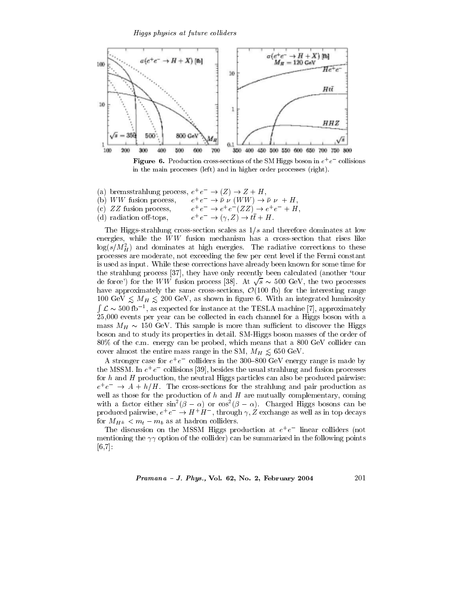

**Figure 6.** Production cross-sections of the SM Higgs boson in  $e^+e^-$  collisions in the main processes (left) and in higher order processes (right).

- (a) bremsstrahlung process,  $e^+e^- \rightarrow (Z) \rightarrow Z + H$ ,  $e^+e^- \rightarrow \bar{\nu} \nu$  (WW)  $\rightarrow \bar{\nu} \nu + H$ , (b)  $WW$  fusion process,
- $e^+e^- \rightarrow e^+e^-(ZZ) \rightarrow e^+e^- + H,$ <br>  $e^+e^- \rightarrow (\gamma, Z) \rightarrow t\bar{t} + H.$ (c)  $ZZ$  fusion process,
- (d) radiation off-tops,

The Higgs-strahlung cross-section scales as  $1/s$  and therefore dominates at low energies, while the  $WW$  fusion mechanism has a cross-section that rises like  $\log(s/M_H^2)$  and dominates at high energies. The radiative corrections to these processes are moderate, not exceeding the few per cent level if the Fermi constant is used as input. While these corrections have already been known for some time for the strahlung process [37], they have only recently been calculated (another 'tour de force') for the WW fusion process [38]. At  $\sqrt{s} \sim 500$  GeV, the two processes have approximately the same cross-sections,  $\mathcal{O}(100)$  for the interesting range 100 GeV  $\leq M_H \leq 200$  GeV, as shown in figure 6. With an integrated luminosity  $\int \mathcal{L} \sim 500 \text{ fb}^{-1}$ , as expected for instance at the TESLA machine [7], approximately 25,000 events per year can be collected in each channel for a Higgs boson with a mass  $M_H \sim 150$  GeV. This sample is more than sufficient to discover the Higgs boson and to study its properties in detail. SM-Higgs boson masses of the order of 80% of the c.m. energy can be probed, which means that a 800 GeV collider can cover almost the entire mass range in the SM,  $M_H \leq 650$  GeV.

A stronger case for  $e^+e^-$  colliders in the 300–800 GeV energy range is made by the MSSM. In  $e^+e^-$  collisions [39], besides the usual strahlung and fusion processes for h and H production, the neutral Higgs particles can also be produced pairwise:  $e^+e^- \rightarrow A + h/H$ . The cross-sections for the strahlung and pair production as well as those for the production of  $h$  and  $H$  are mutually complementary, coming with a factor either  $sin^2(\beta - \alpha)$  or  $cos^2(\beta - \alpha)$ . Charged Higgs bosons can be produced pairwise,  $e^+e^- \rightarrow H^+H^-$ , through  $\gamma$ , Z exchange as well as in top decays for  $M_{H^{\pm}} < m_t - m_b$  as at hadron colliders.

The discussion on the MSSM Higgs production at  $e^+e^-$  linear colliders (not mentioning the  $\gamma\gamma$  option of the collider) can be summarized in the following points  $[6, 7]$ :

Pramana - J. Phys., Vol. 62, No. 2, February 2004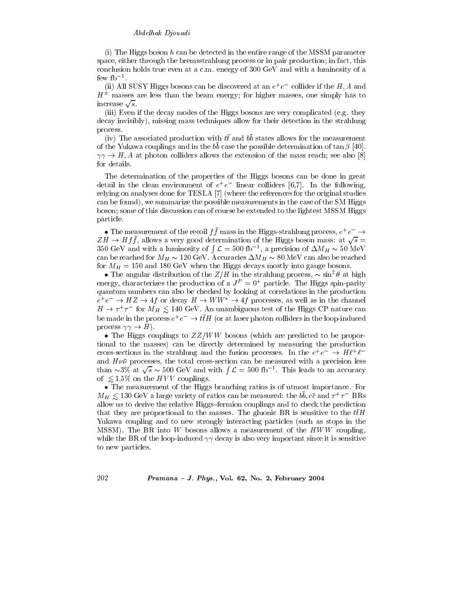(i) The Higgs boson  $h$  can be detected in the entire range of the MSSM parameter space, either through the bremsstrahlung process or in pair production; in fact, this conclusion holds true even at a c.m. energy of 300 GeV and with a luminosity of a few  $fb^{-1}$ .

(ii) All SUSY Higgs bosons can be discovered at an  $e^+e^-$  collider if the H, A and  $H^{\pm}$  masses are less than the beam energy; for higher masses, one simply has to increase  $\sqrt{s}$ .

(iii) Even if the decay modes of the Higgs bosons are very complicated (e.g. they decay invisibly), missing mass techniques allow for their detection in the strahlung process.

(iv) The associated production with  $t\bar{t}$  and  $b\bar{b}$  states allows for the measurement of the Yukawa couplings and in the  $b\bar{b}$  case the possible determination of  $\tan \beta$  [40].  $\gamma\gamma \to H$ , A at photon colliders allows the extension of the mass reach; see also [8] for details.

The determination of the properties of the Higgs bosons can be done in great detail in the clean environment of  $e^+e^-$  linear colliders [6,7]. In the following, relying on analyses done for TESLA [7] (where the references for the original studies can be found), we summarize the possible measurements in the case of the SM Higgs boson; some of this discussion can of course be extended to the lightest MSSM Higgs particle.

• The measurement of the recoil  $f\bar{f}$  mass in the Higgs-strahlung process,  $e^+e^- \rightarrow$  $ZH \rightarrow Hf\bar{f}$ , allows a very good determination of the Higgs boson mass: at  $\sqrt{s}$  = 350 GeV and with a luminosity of  $\int \mathcal{L} = 500$  fb<sup>-1</sup>, a precision of  $\Delta M_H \sim 50$  MeV can be reached for  $M_H \sim 120$  GeV. Accuracies  $\Delta M_H \sim 80$  MeV can also be reached for  $M_H = 150$  and 180 GeV when the Higgs decays mostly into gauge bosons.

• The angular distribution of the  $Z/H$  in the strahlung process,  $\sim \sin^2 \theta$  at high energy, characterizes the production of a  $J^P = 0^+$  particle. The Higgs spin-parity quantum numbers can also be checked by looking at correlations in the production  $e^+e^- \rightarrow HZ \rightarrow 4f$  or decay  $H \rightarrow WW^* \rightarrow 4f$  processes, as well as in the channel  $H \to \tau^+ \tau^-$  for  $M_H \lesssim 140 \text{ GeV}$ . An unambiguous test of the Higgs CP nature can be made in the process  $e^+e^- \rightarrow t\bar{t}H$  (or at laser photon colliders in the loop-induced process  $\gamma\gamma \to H$ ).

• The Higgs couplings to  $ZZ/WW$  bosons (which are predicted to be proportional to the masses) can be directly determined by measuring the production cross-sections in the strahlung and the fusion processes. In the  $e^+e^- \rightarrow H\ell^+\ell^$ and  $H\nu\bar{\nu}$  processes, the total cross-section can be measured with a precision less than  $\sim$ 3% at  $\sqrt{s} \sim 500$  GeV and with  $\int \mathcal{L} = 500$  fb<sup>-1</sup>. This leads to an accuracy of  $\leq 1.5\%$  on the HVV couplings.

• The measurement of the Higgs branching ratios is of utmost importance. For  $M_H \lesssim 130 \text{ GeV}$  a large variety of ratios can be measured: the bb,  $c\bar{c}$  and  $\tau^+\tau^-$  BRs allow us to derive the relative Higgs-fermion couplings and to check the prediction that they are proportional to the masses. The gluonic BR is sensitive to the  $t\bar{t}H$ Yukawa coupling and to new strongly interacting particles (such as stops in the MSSM). The BR into  $W$  bosons allows a measurement of the  $HWW$  coupling, while the BR of the loop-induced  $\gamma\gamma$  decay is also very important since it is sensitive to new particles.

Pramana - J. Phys., Vol. 62, No. 2, February 2004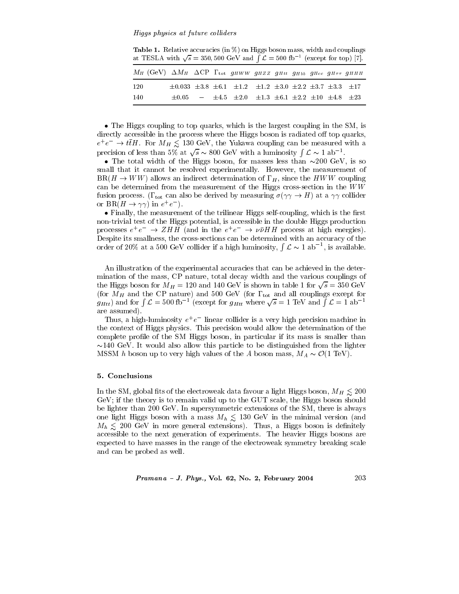Table 1. Relative accuracies (in %) on Higgs boson mass, width and couplings at TESLA with  $\sqrt{s} = 350, 500$  GeV and  $\int \mathcal{L} = 500$  fb<sup>-1</sup> (except for top) [7].

| $M_H$ (GeV) $\Delta M_H$ $\Delta$ CP $\Gamma_{\text{tot}}$ gHWW gHZZ gHtt gHbb gHcc gHTT gHHH |  |                                                                                           |  |  |  |
|-----------------------------------------------------------------------------------------------|--|-------------------------------------------------------------------------------------------|--|--|--|
| 120                                                                                           |  | $\pm 0.033 \pm 3.8 \pm 6.1 \pm 1.2 \pm 1.2 \pm 3.0 \pm 2.2 \pm 3.7 \pm 3.3 \pm 17$        |  |  |  |
| -140                                                                                          |  | $\pm 0.05$ $ \pm 4.5$ $\pm 2.0$ $\pm 1.3$ $\pm 6.1$ $\pm 2.2$ $\pm 10$ $\pm 4.8$ $\pm 23$ |  |  |  |

• The Higgs coupling to top quarks, which is the largest coupling in the SM, is directly accessible in the process where the Higgs boson is radiated off top quarks.  $e^+e^- \rightarrow t\bar{t}H$ . For  $M_H \leq 130$  GeV, the Yukawa coupling can be measured with a precision of less than 5% at  $\sqrt{s} \sim 800 \text{ GeV}$  with a luminosity  $\int \mathcal{L} \sim 1 \text{ ab}^{-1}$ .

• The total width of the Higgs boson, for masses less than  $\sim 200 \text{ GeV}$ , is so small that it cannot be resolved experimentally. However, the measurement of  $BR(H \to WW)$  allows an indirect determination of  $\Gamma_H$ , since the HWW coupling can be determined from the measurement of the Higgs cross-section in the  $WW$ fusion process. ( $\Gamma_{\text{tot}}$  can also be derived by measuring  $\sigma(\gamma \gamma \rightarrow H)$  at a  $\gamma \gamma$  collider or BR $(H \to \gamma\gamma)$  in  $e^+e^-$ ).

• Finally, the measurement of the trilinear Higgs self-coupling, which is the first non-trivial test of the Higgs potential, is accessible in the double Higgs production processes  $e^+e^- \rightarrow ZHH$  (and in the  $e^+e^- \rightarrow \nu\bar{\nu}HH$  process at high energies). Despite its smallness, the cross-sections can be determined with an accuracy of the order of 20% at a 500 GeV collider if a high luminosity,  $\int \mathcal{L} \sim 1$  ab<sup>-1</sup>, is available.

An illustration of the experimental accuracies that can be achieved in the determination of the mass, CP nature, total decay width and the various couplings of the Higgs boson for  $M_H = 120$  and 140 GeV is shown in table 1 for  $\sqrt{s} = 350 \text{ GeV}$ (for  $\overline{M_H}$  and the CP nature) and 500 GeV (for  $\Gamma_{\text{tot}}$  and all couplings except for  $g_{Htt}$ ) and for  $\int \mathcal{L} = 500 \text{ fb}^{-1}$  (except for  $g_{Htt}$  where  $\sqrt{s} = 1 \text{ TeV}$  and  $\int \mathcal{L} = 1 \text{ ab}^{-1}$ are assumed).

Thus, a high-luminosity  $e^+e^-$  linear collider is a very high precision machine in the context of Higgs physics. This precision would allow the determination of the complete profile of the SM Higgs boson, in particular if its mass is smaller than  $\sim$ 140 GeV. It would also allow this particle to be distinguished from the lighter MSSM h boson up to very high values of the A boson mass,  $M_A \sim \mathcal{O}(1 \text{ TeV})$ .

#### 5. Conclusions

In the SM, global fits of the electroweak data favour a light Higgs boson,  $M_H \lesssim 200$ GeV; if the theory is to remain valid up to the GUT scale, the Higgs boson should be lighter than 200 GeV. In supersymmetric extensions of the SM, there is always one light Higgs boson with a mass  $M_h \leq 130 \text{ GeV}$  in the minimal version (and  $M_h \leq 200$  GeV in more general extensions). Thus, a Higgs boson is definitely accessible to the next generation of experiments. The heavier Higgs bosons are expected to have masses in the range of the electroweak symmetry breaking scale and can be probed as well.

*Pramana - J. Phys.*, Vol. 62, No. 2, February 2004 
$$
203
$$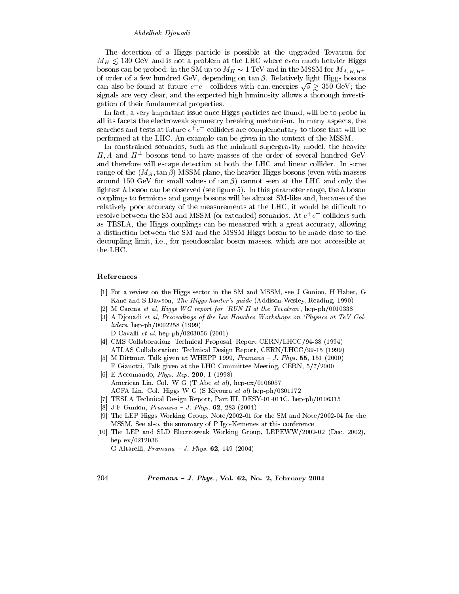# Abdelhak Djouadi

The detection of a Higgs particle is possible at the upgraded Tevatron for  $M_H \leq 130$  GeV and is not a problem at the LHC where even much heavier Higgs bosons can be probed: in the SM up to  $M_H \sim 1 \text{ TeV}$  and in the MSSM for  $M_{A,H,H^{\pm}}$ of order of a few hundred GeV, depending on  $\tan \beta$ . Relatively light Higgs bosons can also be found at future  $e^+e^-$  colliders with c.m. energies  $\sqrt{s} \gtrsim 350$  GeV; the signals are very clear, and the expected high luminosity allows a thorough investigation of their fundamental properties.

In fact, a very important issue once Higgs particles are found, will be to probe in all its facets the electroweak symmetry breaking mechanism. In many aspects, the searches and tests at future  $e^+e^-$  colliders are complementary to those that will be performed at the LHC. An example can be given in the context of the MSSM.

In constrained scenarios, such as the minimal supergravity model, the heavier  $H, A$  and  $H^{\pm}$  bosons tend to have masses of the order of several hundred GeV and therefore will escape detection at both the LHC and linear collider. In some range of the  $(M_A, \tan \beta)$  MSSM plane, the heavier Higgs bosons (even with masses around 150 GeV for small values of  $\tan \beta$  cannot seen at the LHC and only the lightest h boson can be observed (see figure 5). In this parameter range, the h boson couplings to fermions and gauge bosons will be almost SM-like and, because of the relatively poor accuracy of the measurements at the LHC, it would be difficult to resolve between the SM and MSSM (or extended) scenarios. At  $e^+e^-$  colliders such as TESLA, the Higgs couplings can be measured with a great accuracy, allowing a distinction between the SM and the MSSM Higgs boson to be made close to the decoupling limit, *i.e.*, for pseudoscalar boson masses, which are not accessible at the LHC.

#### References

- [1] For a review on the Higgs sector in the SM and MSSM, see J Gunion, H Haber, G Kane and S Dawson, The Higgs hunter's guide (Addison-Wesley, Reading, 1990)
- M Carena et al. Higgs WG report for 'RUN II at the Tevatron', hep-ph/0010338
- [3] A Djouadi et al, Proceedings of the Les Houches Workshops on 'Physics at TeV Colliders, hep-ph/0002258 (1999)
- D Cavalli et al, hep-ph/0203056 (2001)
- [4] CMS Collaboration: Technical Proposal, Report CERN/LHCC/94-38 (1994) ATLAS Collaboration: Technical Design Report, CERN/LHCC/99-15 (1999)
- [5] M Dittmar, Talk given at WHEPP 1999,  $Pramana J$ . Phys. 55, 151 (2000) F Gianotti, Talk given at the LHC Committee Meeting, CERN, 5/7/2000
- [6] E Accomando, *Phys. Rep.* **299**, 1 (1998) American Lin. Col. W G (T Abe et al), hep-ex/0106057 ACFA Lin. Col. Higgs W G (S Kiyoura et al) hep-ph/0301172
- [7] TESLA Technical Design Report, Part III, DESY-01-011C, hep-ph/0106315
- $\left[ 8 \right]$ J F Gunion, *Pramana - J. Phys.* 62, 283 (2004)
- [9] The LEP Higgs Working Group, Note/2002-01 for the SM and Note/2002-04 for the MSSM. See also, the summary of P Igo-Kemenes at this conference
- [10] The LEP and SLD Electroweak Working Group, LEPEWW/2002-02 (Dec. 2002), hep-ex/0212036

G Altarelli, *Pramana - J. Phys.* 62, 149 (2004)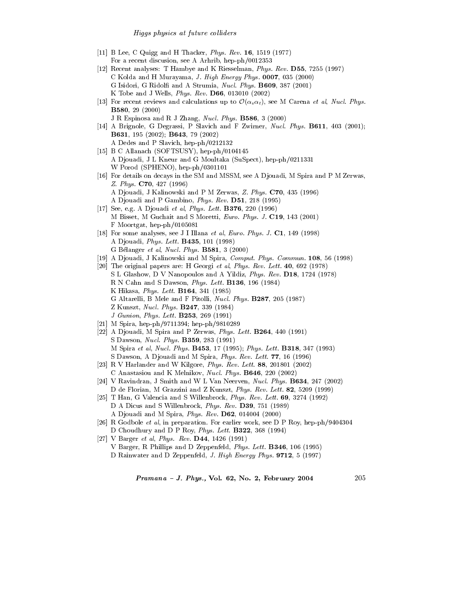#### *Higgs physics at future colliders*

- [11] B Lee, C Quigg and H Thacker, *Phys. Rev.* **16**, 1519 (1977) For a recent discusion, see A Arhrib, hep-ph/0012353
- [12] Recent analyses: T Hambye and K Riesselman, Phys. Rev. D55, 7255 (1997) C Kolda and H Murayama, J. High Energy Phys. 0007, 035 (2000) G Isidori, G Ridolfi and A Strumia, Nucl. Phys. B609, 387 (2001) K Tobe and J Wells, Phys. Rev. D66, 013010 (2002)
- [13] For recent reviews and calculations up to  $\mathcal{O}(\alpha_s \alpha_t)$ , see M Carena *et al, Nucl. Phys.* **B580**, 29 (2000)
	- J R Espinosa and R J Zhang, Nucl. Phys. B586, 3 (2000)
- [14] A Brignole, G Degrassi, P Slavich and F Zwirner, *Nucl. Phys.* **B611**, 403 (2001); **B631**, 195 (2002); **B643**, 79 (2002) A Dedes and P Slavich, hep-ph/0212132
- [15] B C Allanach (SOFTSUSY), hep-ph/0104145 A Djouadi, J L Kneur and G Moultaka (SuSpect), hep-ph/0211331 W Porod (SPHENO), hep-ph/0301101
- [16] For details on decays in the SM and MSSM, see A Djouadi, M Spira and P M Zerwas. Z. Phys. C70, 427 (1996) A Djouadi, J Kalinowski and P M Zerwas, Z. Phys. C70, 435 (1996) A Djouadi and P Gambino, *Phys. Rev.* **D51**, 218 (1995)
- [17] See, e.g. A Djouadi et al, Phys. Lett. **B376**, 220 (1996) M Bisset, M Guchait and S Moretti, Euro. Phys. J. C19, 143 (2001)  $F$  Moortgat, hep-ph/0105081
- [18] For some analyses, see J I Illana *et al. Euro. Phys. J.* C1, 149 (1998) A Diouadi, *Phys. Lett.* **B435**, 101 (1998) G Bélanger et al, Nucl. Phys.  $B581$ , 3 (2000)
- [19] A Djouadi, J Kalinowski and M Spira, Comput. Phys. Commun. 108, 56 (1998)
- [20] The original papers are: H Georgi et al, Phys. Rev. Lett. 40, 692 (1978) S L Glashow, D V Nanopoulos and A Yildiz, Phys. Rev. D18, 1724 (1978) R N Cahn and S Dawson, Phys. Lett. B136, 196 (1984) K Hikasa, *Phys. Lett.* **B164**, 341 (1985) G Altarelli, B Mele and F Pitolli, Nucl. Phys. B287, 205 (1987) Z Kunszt, Nucl. Phys. B247, 339 (1984) J Gunion, Phys. Lett. **B253**, 269 (1991)
- [21] M Spira, hep-ph/9711394; hep-ph/9810289
- [22] A Djouadi, M Spira and P Zerwas, Phys. Lett. B264, 440 (1991) S Dawson, *Nucl. Phys.* **B359**, 283 (1991) M Spira et al. Nucl. Phys. B453, 17 (1995); Phys. Lett. B318, 347 (1993) S Dawson, A Djouadi and M Spira, Phys. Rev. Lett. 77, 16 (1996)
- [23] R V Harlander and W Kilgore, Phys. Rev. Lett. 88, 201801 (2002) C Anastasiou and K Melnikov, Nucl. Phys. B646, 220 (2002)
- [24] V Ravindran, J Smith and W L Van Neerven, *Nucl. Phys.* **B634**, 247 (2002) D de Florian, M Grazzini and Z Kunszt, Phys. Rev. Lett. 82, 5209 (1999)
- [25] T Han, G Valencia and S Willenbrock, Phys. Rev. Lett.  $69, 3274$  (1992) D A Dicus and S Willenbrock, Phys. Rev. D39, 751 (1989) A Djouadi and M Spira, Phys. Rev. D62, 014004 (2000)
- [26] R Godbole et al, in preparation. For earlier work, see D P Roy, hep-ph/9404304 D Choudhury and D P Roy, Phys. Lett. B322, 368 (1994)
- [27] V Barger et al, Phys. Rev. D44, 1426 (1991) V Barger, R Phillips and D Zeppenfeld, Phys. Lett. B346, 106 (1995) D Rainwater and D Zeppenfeld, J. High Energy Phys. 9712, 5 (1997)

Pramana - J. Phys., Vol. 62, No. 2, February 2004